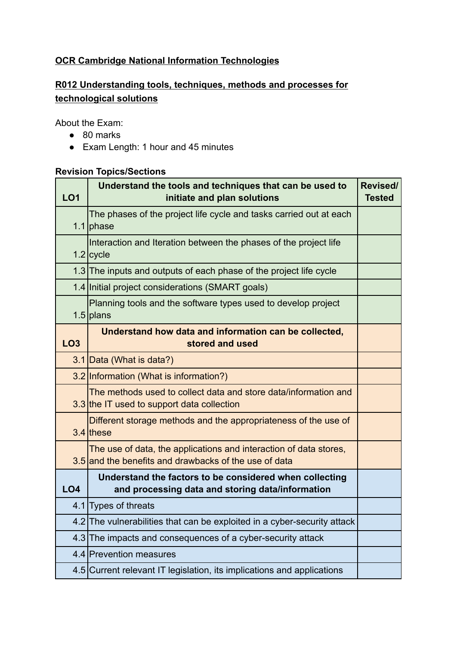# **OCR Cambridge National Information Technologies**

# **R012 Understanding tools, techniques, methods and processes for technological solutions**

About the Exam:

- 80 marks
- Exam Length: 1 hour and 45 minutes

#### **Revision Topics/Sections**

| <b>LO1</b>      | Understand the tools and techniques that can be used to<br>initiate and plan solutions                                     | Revised/<br><b>Tested</b> |
|-----------------|----------------------------------------------------------------------------------------------------------------------------|---------------------------|
|                 | The phases of the project life cycle and tasks carried out at each<br>1.1 $phase$                                          |                           |
|                 | Interaction and Iteration between the phases of the project life<br>$1.2$ cycle                                            |                           |
|                 | 1.3 The inputs and outputs of each phase of the project life cycle                                                         |                           |
|                 | 1.4 Initial project considerations (SMART goals)                                                                           |                           |
|                 | Planning tools and the software types used to develop project<br>1.5 $ $ plans                                             |                           |
| <b>LO3</b>      | Understand how data and information can be collected,<br>stored and used                                                   |                           |
|                 | 3.1 Data (What is data?)                                                                                                   |                           |
|                 | 3.2 Information (What is information?)                                                                                     |                           |
|                 | The methods used to collect data and store data/information and<br>3.3 the IT used to support data collection              |                           |
|                 | Different storage methods and the appropriateness of the use of<br>$3.4$ these                                             |                           |
|                 | The use of data, the applications and interaction of data stores,<br>3.5 and the benefits and drawbacks of the use of data |                           |
| LO <sub>4</sub> | Understand the factors to be considered when collecting<br>and processing data and storing data/information                |                           |
|                 | 4.1 Types of threats                                                                                                       |                           |
|                 | 4.2 The vulnerabilities that can be exploited in a cyber-security attack                                                   |                           |
|                 | 4.3 The impacts and consequences of a cyber-security attack                                                                |                           |
|                 | 4.4 Prevention measures                                                                                                    |                           |
|                 | 4.5 Current relevant IT legislation, its implications and applications                                                     |                           |